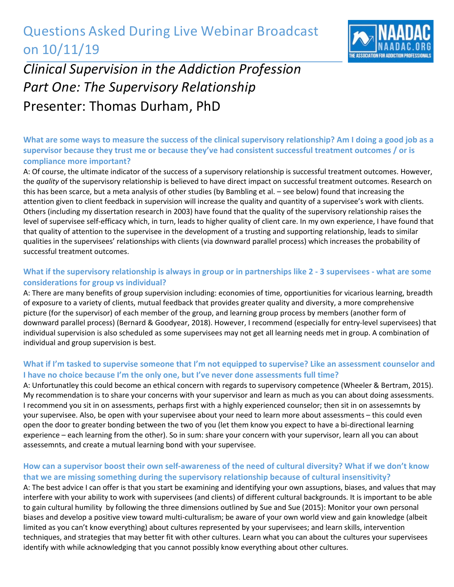## Questions Asked During Live Webinar Broadcast on 10/11/19



# *Clinical Supervision in the Addiction Profession Part One: The Supervisory Relationship*  Presenter: Thomas Durham, PhD

### **What are some ways to measure the success of the clinical supervisory relationship? Am I doing a good job as a supervisor because they trust me or because they've had consistent successful treatment outcomes / or is compliance more important?**

A: Of course, the ultimate indicator of the success of a supervisory relationship is successful treatment outcomes. However, the *quality* of the supervisory relationship is believed to have direct impact on successful treatment outcomes. Research on this has been scarce, but a meta analysis of other studies (by Bambling et al. – see below) found that increasing the attention given to client feedback in supervision will increase the quality and quantity of a supervisee's work with clients. Others (including my dissertation research in 2003) have found that the quality of the supervisory relationship raises the level of supervisee self-efficacy which, in turn, leads to higher quality of client care. In my own experience, I have found that that quality of attention to the supervisee in the development of a trusting and supporting relationship, leads to similar qualities in the supervisees' relationships with clients (via downward parallel process) which increases the probability of successful treatment outcomes.

#### **What if the supervisory relationship is always in group or in partnerships like 2 - 3 supervisees - what are some considerations for group vs individual?**

A: There are many benefits of group supervision including: economies of time, opportiunities for vicarious learning, breadth of exposure to a variety of clients, mutual feedback that provides greater quality and diversity, a more comprehensive picture (for the supervisor) of each member of the group, and learning group process by members (another form of downward parallel process) (Bernard & Goodyear, 2018). However, I recommend (especially for entry-level supervisees) that individual supervision is also scheduled as some supervisees may not get all learning needs met in group. A combination of individual and group supervision is best.

#### **What if I'm tasked to supervise someone that I'm not equipped to supervise? Like an assessment counselor and I have no choice because I'm the only one, but I've never done assessments full time?**

A: Unfortunatley this could become an ethical concern with regards to supervisory competence (Wheeler & Bertram, 2015). My recommendation is to share your concerns with your supervisor and learn as much as you can about doing assessments. I recommend you sit in on assessments, perhaps first with a highly experienced counselor; then sit in on assessemnts by your supervisee. Also, be open with your supervisee about your need to learn more about assessments – this could even open the door to greater bonding between the two of you (let them know you expect to have a bi-directional learning experience – each learning from the other). So in sum: share your concern with your supervisor, learn all you can about assessemnts, and create a mutual learning bond with your supervisee.

#### **How can a supervisor boost their own self-awareness of the need of cultural diversity? What if we don't know that we are missing something during the supervisory relationship because of cultural insensitivity?**

A: The best advice I can offer is that you start be examining and identifying your own assuptions, biases, and values that may interfere with your ability to work with supervisees (and clients) of different cultural backgrounds. It is important to be able to gain cultural humility by following the three dimensions outlined by Sue and Sue (2015): Monitor your own personal biases and develop a positive view toward multi-culturalism; be aware of your own world view and gain knowledge (albeit limited as you can't know everything) about cultures represented by your supervisees; and learn skills, intervention techniques, and strategies that may better fit with other cultures. Learn what you can about the cultures your supervisees identify with while acknowledging that you cannot possibly know everything about other cultures.